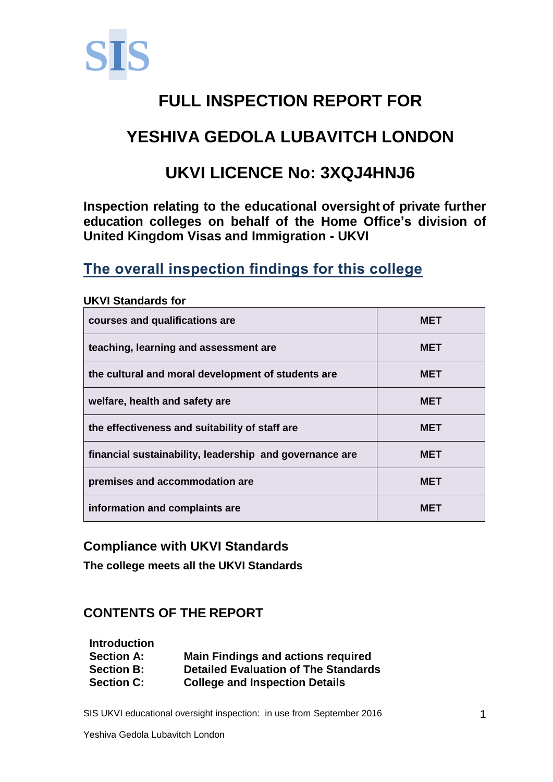

# **FULL INSPECTION REPORT FOR**

## **YESHIVA GEDOLA LUBAVITCH LONDON**

## **UKVI LICENCE No: 3XQJ4HNJ6**

**Inspection relating to the educational oversight of private further education colleges on behalf of the Home Office's division of United Kingdom Visas and Immigration - UKVI**

### **The overall inspection findings for this college**

| courses and qualifications are                          | <b>MET</b> |
|---------------------------------------------------------|------------|
| teaching, learning and assessment are                   | <b>MET</b> |
| the cultural and moral development of students are      | <b>MET</b> |
| welfare, health and safety are                          | <b>MET</b> |
| the effectiveness and suitability of staff are          | <b>MET</b> |
| financial sustainability, leadership and governance are | <b>MET</b> |
| premises and accommodation are                          | <b>MET</b> |
| information and complaints are                          | MET        |

#### **UKVI Standards for**

#### **Compliance with UKVI Standards**

**The college meets all the UKVI Standards**

### **CONTENTS OF THE REPORT**

| <b>Introduction</b> |                                             |
|---------------------|---------------------------------------------|
| <b>Section A:</b>   | <b>Main Findings and actions required</b>   |
| <b>Section B:</b>   | <b>Detailed Evaluation of The Standards</b> |
| <b>Section C:</b>   | <b>College and Inspection Details</b>       |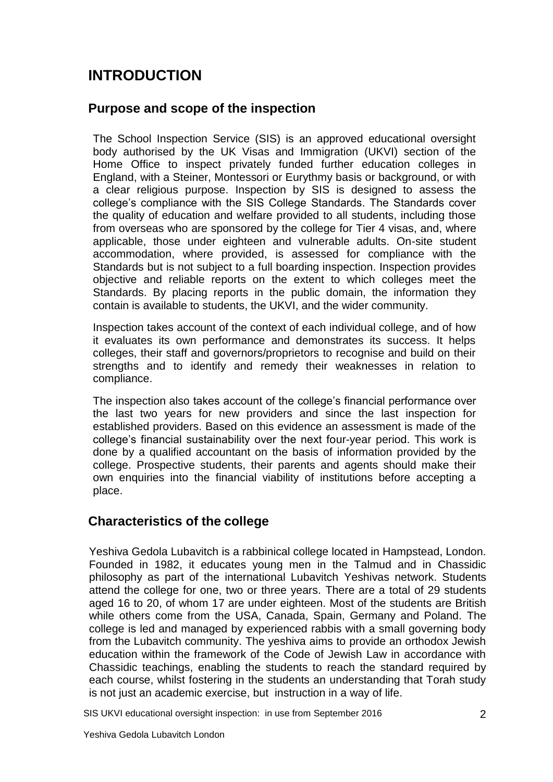### **INTRODUCTION**

#### **Purpose and scope of the inspection**

The School Inspection Service (SIS) is an approved educational oversight body authorised by the UK Visas and Immigration (UKVI) section of the Home Office to inspect privately funded further education colleges in England, with a Steiner, Montessori or Eurythmy basis or background, or with a clear religious purpose. Inspection by SIS is designed to assess the college's compliance with the SIS College Standards. The Standards cover the quality of education and welfare provided to all students, including those from overseas who are sponsored by the college for Tier 4 visas, and, where applicable, those under eighteen and vulnerable adults. On-site student accommodation, where provided, is assessed for compliance with the Standards but is not subject to a full boarding inspection. Inspection provides objective and reliable reports on the extent to which colleges meet the Standards. By placing reports in the public domain, the information they contain is available to students, the UKVI, and the wider community.

Inspection takes account of the context of each individual college, and of how it evaluates its own performance and demonstrates its success. It helps colleges, their staff and governors/proprietors to recognise and build on their strengths and to identify and remedy their weaknesses in relation to compliance.

The inspection also takes account of the college's financial performance over the last two years for new providers and since the last inspection for established providers. Based on this evidence an assessment is made of the college's financial sustainability over the next four-year period. This work is done by a qualified accountant on the basis of information provided by the college. Prospective students, their parents and agents should make their own enquiries into the financial viability of institutions before accepting a place.

#### **Characteristics of the college**

Yeshiva Gedola Lubavitch is a rabbinical college located in Hampstead, London. Founded in 1982, it educates young men in the Talmud and in Chassidic philosophy as part of the international Lubavitch Yeshivas network. Students attend the college for one, two or three years. There are a total of 29 students aged 16 to 20, of whom 17 are under eighteen. Most of the students are British while others come from the USA, Canada, Spain, Germany and Poland. The college is led and managed by experienced rabbis with a small governing body from the Lubavitch community. The yeshiva aims to provide an orthodox Jewish education within the framework of the Code of Jewish Law in accordance with Chassidic teachings, enabling the students to reach the standard required by each course, whilst fostering in the students an understanding that Torah study is not just an academic exercise, but instruction in a way of life.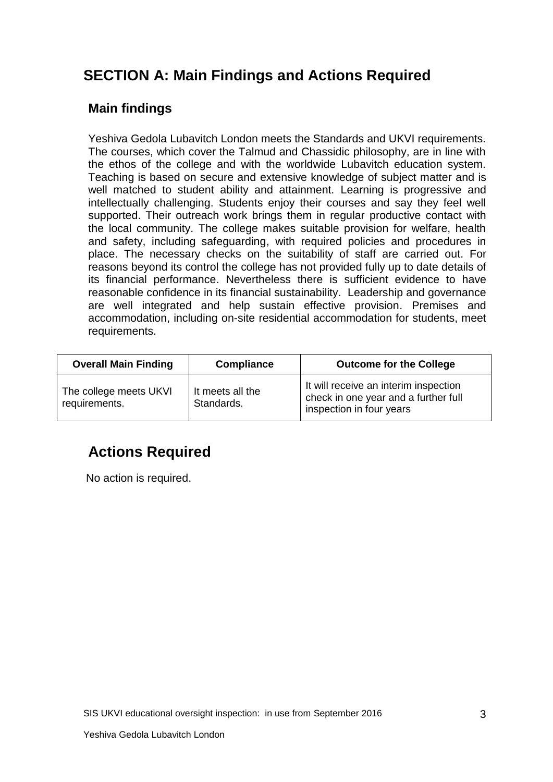### **SECTION A: Main Findings and Actions Required**

#### **Main findings**

Yeshiva Gedola Lubavitch London meets the Standards and UKVI requirements. The courses, which cover the Talmud and Chassidic philosophy, are in line with the ethos of the college and with the worldwide Lubavitch education system. Teaching is based on secure and extensive knowledge of subject matter and is well matched to student ability and attainment. Learning is progressive and intellectually challenging. Students enjoy their courses and say they feel well supported. Their outreach work brings them in regular productive contact with the local community. The college makes suitable provision for welfare, health and safety, including safeguarding, with required policies and procedures in place. The necessary checks on the suitability of staff are carried out. For reasons beyond its control the college has not provided fully up to date details of its financial performance. Nevertheless there is sufficient evidence to have reasonable confidence in its financial sustainability. Leadership and governance are well integrated and help sustain effective provision. Premises and accommodation, including on-site residential accommodation for students, meet requirements.

| <b>Overall Main Finding</b>             | Compliance                     | <b>Outcome for the College</b>                                                                            |
|-----------------------------------------|--------------------------------|-----------------------------------------------------------------------------------------------------------|
| The college meets UKVI<br>requirements. | It meets all the<br>Standards. | It will receive an interim inspection<br>check in one year and a further full<br>inspection in four years |

## **Actions Required**

No action is required.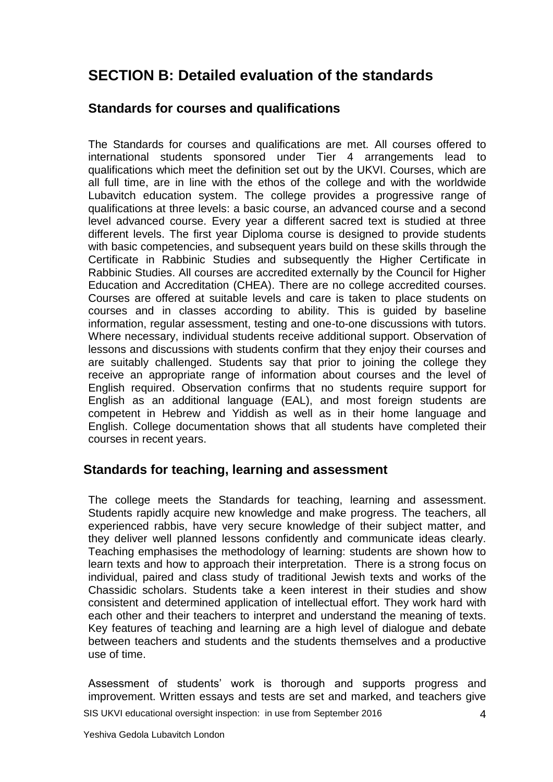### **SECTION B: Detailed evaluation of the standards**

#### **Standards for courses and qualifications**

The Standards for courses and qualifications are met. All courses offered to international students sponsored under Tier 4 arrangements lead to qualifications which meet the definition set out by the UKVI. Courses, which are all full time, are in line with the ethos of the college and with the worldwide Lubavitch education system. The college provides a progressive range of qualifications at three levels: a basic course, an advanced course and a second level advanced course. Every year a different sacred text is studied at three different levels. The first year Diploma course is designed to provide students with basic competencies, and subsequent years build on these skills through the Certificate in Rabbinic Studies and subsequently the Higher Certificate in Rabbinic Studies. All courses are accredited externally by the Council for Higher Education and Accreditation (CHEA). There are no college accredited courses. Courses are offered at suitable levels and care is taken to place students on courses and in classes according to ability. This is guided by baseline information, regular assessment, testing and one-to-one discussions with tutors. Where necessary, individual students receive additional support. Observation of lessons and discussions with students confirm that they enjoy their courses and are suitably challenged. Students say that prior to joining the college they receive an appropriate range of information about courses and the level of English required. Observation confirms that no students require support for English as an additional language (EAL), and most foreign students are competent in Hebrew and Yiddish as well as in their home language and English. College documentation shows that all students have completed their courses in recent years.

#### **Standards for teaching, learning and assessment**

The college meets the Standards for teaching, learning and assessment. Students rapidly acquire new knowledge and make progress. The teachers, all experienced rabbis, have very secure knowledge of their subject matter, and they deliver well planned lessons confidently and communicate ideas clearly. Teaching emphasises the methodology of learning: students are shown how to learn texts and how to approach their interpretation. There is a strong focus on individual, paired and class study of traditional Jewish texts and works of the Chassidic scholars. Students take a keen interest in their studies and show consistent and determined application of intellectual effort. They work hard with each other and their teachers to interpret and understand the meaning of texts. Key features of teaching and learning are a high level of dialogue and debate between teachers and students and the students themselves and a productive use of time.

Assessment of students' work is thorough and supports progress and improvement. Written essays and tests are set and marked, and teachers give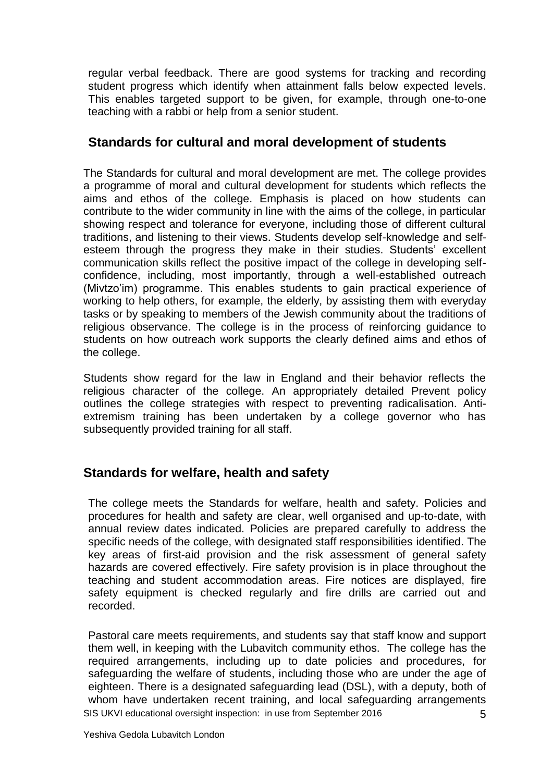regular verbal feedback. There are good systems for tracking and recording student progress which identify when attainment falls below expected levels. This enables targeted support to be given, for example, through one-to-one teaching with a rabbi or help from a senior student.

#### **Standards for cultural and moral development of students**

The Standards for cultural and moral development are met. The college provides a programme of moral and cultural development for students which reflects the aims and ethos of the college. Emphasis is placed on how students can contribute to the wider community in line with the aims of the college, in particular showing respect and tolerance for everyone, including those of different cultural traditions, and listening to their views. Students develop self-knowledge and selfesteem through the progress they make in their studies. Students' excellent communication skills reflect the positive impact of the college in developing selfconfidence, including, most importantly, through a well-established outreach (Mivtzo'im) programme. This enables students to gain practical experience of working to help others, for example, the elderly, by assisting them with everyday tasks or by speaking to members of the Jewish community about the traditions of religious observance. The college is in the process of reinforcing guidance to students on how outreach work supports the clearly defined aims and ethos of the college.

Students show regard for the law in England and their behavior reflects the religious character of the college. An appropriately detailed Prevent policy outlines the college strategies with respect to preventing radicalisation. Antiextremism training has been undertaken by a college governor who has subsequently provided training for all staff.

#### **Standards for welfare, health and safety**

The college meets the Standards for welfare, health and safety. Policies and procedures for health and safety are clear, well organised and up-to-date, with annual review dates indicated. Policies are prepared carefully to address the specific needs of the college, with designated staff responsibilities identified. The key areas of first-aid provision and the risk assessment of general safety hazards are covered effectively. Fire safety provision is in place throughout the teaching and student accommodation areas. Fire notices are displayed, fire safety equipment is checked regularly and fire drills are carried out and recorded.

SIS UKVI educational oversight inspection: in use from September 2016 5 Pastoral care meets requirements, and students say that staff know and support them well, in keeping with the Lubavitch community ethos. The college has the required arrangements, including up to date policies and procedures, for safeguarding the welfare of students, including those who are under the age of eighteen. There is a designated safeguarding lead (DSL), with a deputy, both of whom have undertaken recent training, and local safeguarding arrangements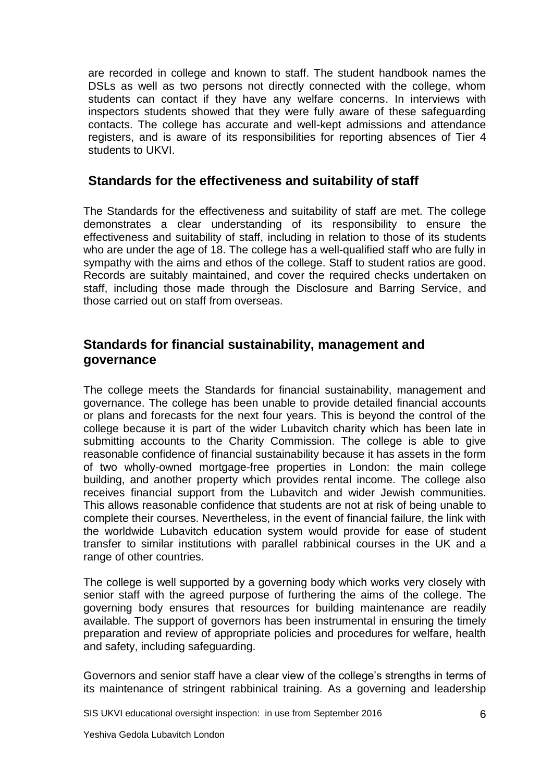are recorded in college and known to staff. The student handbook names the DSLs as well as two persons not directly connected with the college, whom students can contact if they have any welfare concerns. In interviews with inspectors students showed that they were fully aware of these safeguarding contacts. The college has accurate and well-kept admissions and attendance registers, and is aware of its responsibilities for reporting absences of Tier 4 students to UKVI.

#### **Standards for the effectiveness and suitability of staff**

The Standards for the effectiveness and suitability of staff are met. The college demonstrates a clear understanding of its responsibility to ensure the effectiveness and suitability of staff, including in relation to those of its students who are under the age of 18. The college has a well-qualified staff who are fully in sympathy with the aims and ethos of the college. Staff to student ratios are good. Records are suitably maintained, and cover the required checks undertaken on staff, including those made through the Disclosure and Barring Service, and those carried out on staff from overseas.

#### **Standards for financial sustainability, management and governance**

The college meets the Standards for financial sustainability, management and governance. The college has been unable to provide detailed financial accounts or plans and forecasts for the next four years. This is beyond the control of the college because it is part of the wider Lubavitch charity which has been late in submitting accounts to the Charity Commission. The college is able to give reasonable confidence of financial sustainability because it has assets in the form of two wholly-owned mortgage-free properties in London: the main college building, and another property which provides rental income. The college also receives financial support from the Lubavitch and wider Jewish communities. This allows reasonable confidence that students are not at risk of being unable to complete their courses. Nevertheless, in the event of financial failure, the link with the worldwide Lubavitch education system would provide for ease of student transfer to similar institutions with parallel rabbinical courses in the UK and a range of other countries.

The college is well supported by a governing body which works very closely with senior staff with the agreed purpose of furthering the aims of the college. The governing body ensures that resources for building maintenance are readily available. The support of governors has been instrumental in ensuring the timely preparation and review of appropriate policies and procedures for welfare, health and safety, including safeguarding.

Governors and senior staff have a clear view of the college's strengths in terms of its maintenance of stringent rabbinical training. As a governing and leadership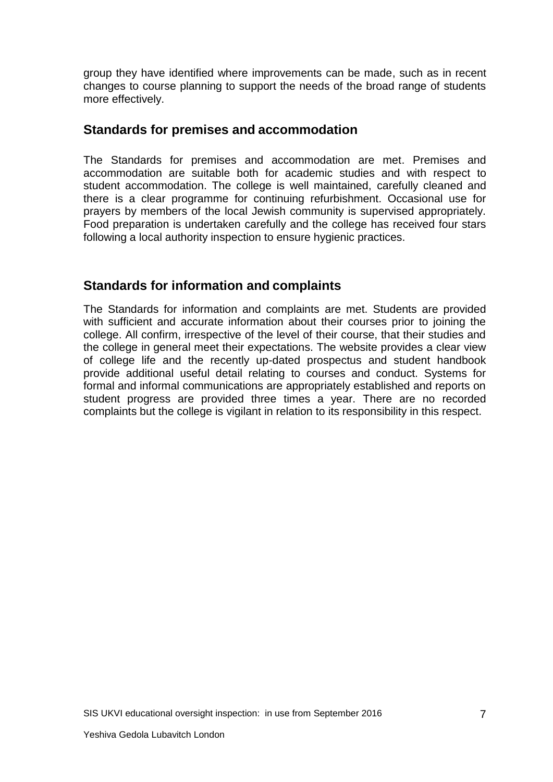group they have identified where improvements can be made, such as in recent changes to course planning to support the needs of the broad range of students more effectively.

#### **Standards for premises and accommodation**

The Standards for premises and accommodation are met. Premises and accommodation are suitable both for academic studies and with respect to student accommodation. The college is well maintained, carefully cleaned and there is a clear programme for continuing refurbishment. Occasional use for prayers by members of the local Jewish community is supervised appropriately. Food preparation is undertaken carefully and the college has received four stars following a local authority inspection to ensure hygienic practices.

#### **Standards for information and complaints**

The Standards for information and complaints are met. Students are provided with sufficient and accurate information about their courses prior to joining the college. All confirm, irrespective of the level of their course, that their studies and the college in general meet their expectations. The website provides a clear view of college life and the recently up-dated prospectus and student handbook provide additional useful detail relating to courses and conduct. Systems for formal and informal communications are appropriately established and reports on student progress are provided three times a year. There are no recorded complaints but the college is vigilant in relation to its responsibility in this respect.